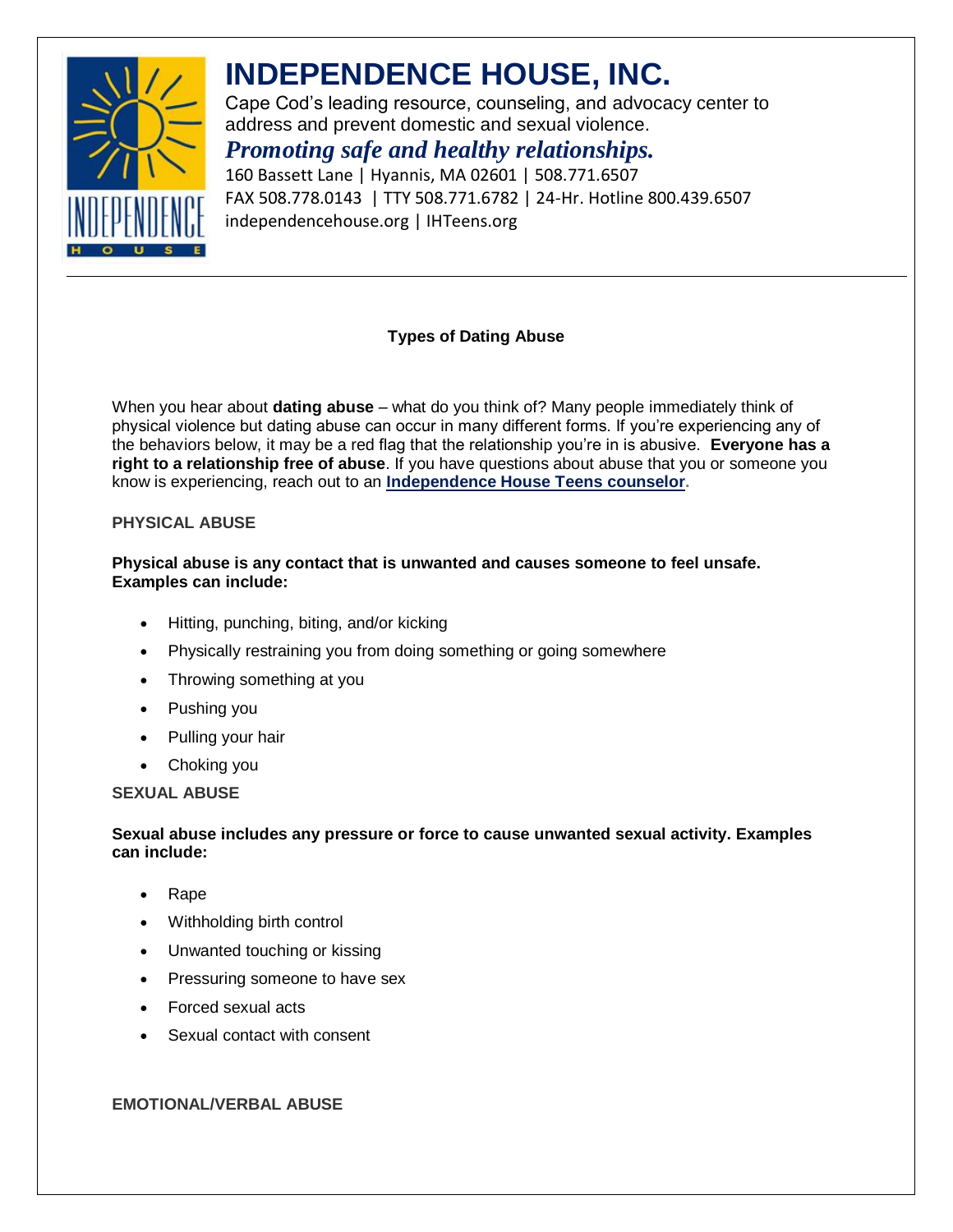

# **INDEPENDENCE HOUSE, INC.**

Cape Cod's leading resource, counseling, and advocacy center to address and prevent domestic and sexual violence.

# *Promoting safe and healthy relationships.*

160 Bassett Lane | Hyannis, MA 02601 | 508.771.6507 FAX 508.778.0143 | TTY 508.771.6782 | 24-Hr. Hotline 800.439.6507 independencehouse.org | IHTeens.org

### **Types of Dating Abuse**

When you hear about **dating abuse** – what do you think of? Many people immediately think of physical violence but dating abuse can occur in many different forms. If you're experiencing any of the behaviors below, it may be a red flag that the relationship you're in is abusive. **Everyone has a right to a relationship free of abuse**. If you have questions about abuse that you or someone you know is experiencing, reach out to an **[Independence House Teens](http://independencehouseteens.org/talk-to-a-counselor/) counselor.**

### **PHYSICAL ABUSE**

### **Physical abuse is any contact that is unwanted and causes someone to feel unsafe. Examples can include:**

- Hitting, punching, biting, and/or kicking
- Physically restraining you from doing something or going somewhere
- Throwing something at you
- Pushing you
- Pulling your hair
- Choking you

**SEXUAL ABUSE**

#### **Sexual abuse includes any pressure or force to cause unwanted sexual activity. Examples can include:**

- Rape
- Withholding birth control
- Unwanted touching or kissing
- Pressuring someone to have sex
- Forced sexual acts
- Sexual contact with consent

#### **EMOTIONAL/VERBAL ABUSE**